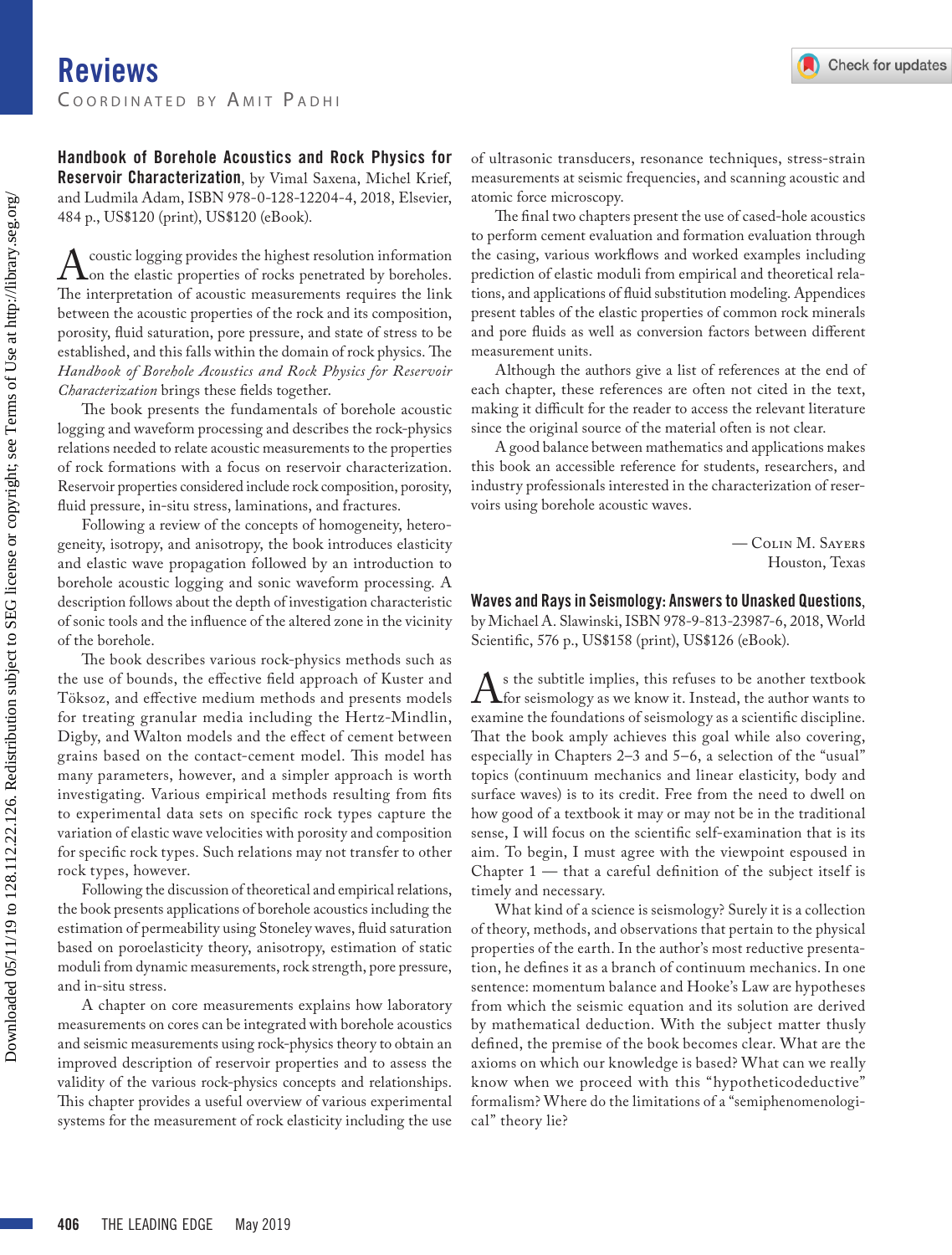Handbook of Borehole Acoustics and Rock Physics for Reservoir Characterization, by Vimal Saxena, Michel Krief, and Ludmila Adam, ISBN 978-0-128-12204-4, 2018, Elsevier, 484 p., US\$120 (print), US\$120 (eBook).

A coustic logging provides the highest resolution information<br>The interpretation of acoustic measurements requires the link The interpretation of acoustic measurements requires the link between the acoustic properties of the rock and its composition, porosity, fluid saturation, pore pressure, and state of stress to be established, and this falls within the domain of rock physics. The *Handbook of Borehole Acoustics and Rock Physics for Reservoir Characterization* brings these fields together.

The book presents the fundamentals of borehole acoustic logging and waveform processing and describes the rock-physics relations needed to relate acoustic measurements to the properties of rock formations with a focus on reservoir characterization. Reservoir properties considered include rock composition, porosity, fluid pressure, in-situ stress, laminations, and fractures.

Following a review of the concepts of homogeneity, heterogeneity, isotropy, and anisotropy, the book introduces elasticity and elastic wave propagation followed by an introduction to borehole acoustic logging and sonic waveform processing. A description follows about the depth of investigation characteristic of sonic tools and the influence of the altered zone in the vicinity of the borehole.

The book describes various rock-physics methods such as the use of bounds, the effective field approach of Kuster and Töksoz, and effective medium methods and presents models for treating granular media including the Hertz-Mindlin, Digby, and Walton models and the effect of cement between grains based on the contact-cement model. This model has many parameters, however, and a simpler approach is worth investigating. Various empirical methods resulting from fits to experimental data sets on specific rock types capture the variation of elastic wave velocities with porosity and composition for specific rock types. Such relations may not transfer to other rock types, however.

Following the discussion of theoretical and empirical relations, the book presents applications of borehole acoustics including the estimation of permeability using Stoneley waves, fluid saturation based on poroelasticity theory, anisotropy, estimation of static moduli from dynamic measurements, rock strength, pore pressure, and in-situ stress.

A chapter on core measurements explains how laboratory measurements on cores can be integrated with borehole acoustics and seismic measurements using rock-physics theory to obtain an improved description of reservoir properties and to assess the validity of the various rock-physics concepts and relationships. This chapter provides a useful overview of various experimental systems for the measurement of rock elasticity including the use of ultrasonic transducers, resonance techniques, stress-strain measurements at seismic frequencies, and scanning acoustic and atomic force microscopy.

The final two chapters present the use of cased-hole acoustics to perform cement evaluation and formation evaluation through the casing, various workflows and worked examples including prediction of elastic moduli from empirical and theoretical relations, and applications of fluid substitution modeling. Appendices present tables of the elastic properties of common rock minerals and pore fluids as well as conversion factors between different measurement units.

Although the authors give a list of references at the end of each chapter, these references are often not cited in the text, making it difficult for the reader to access the relevant literature since the original source of the material often is not clear.

A good balance between mathematics and applications makes this book an accessible reference for students, researchers, and industry professionals interested in the characterization of reservoirs using borehole acoustic waves.

> — Colin M. Sayers Houston, Texas

Waves and Rays in Seismology: Answers to Unasked Questions, by Michael A. Slawinski, ISBN 978-9-813-23987-6, 2018, World Scientific, 576 p., US\$158 (print), US\$126 (eBook).

 $\Lambda$  is the subtitle implies, this refuses to be another textbook<br>for seismology as we know it. Instead, the author wants to<br>examine the foundations of seismology as a scientific discipline examine the foundations of seismology as a scientific discipline. That the book amply achieves this goal while also covering, especially in Chapters 2–3 and 5–6, a selection of the "usual" topics (continuum mechanics and linear elasticity, body and surface waves) is to its credit. Free from the need to dwell on how good of a textbook it may or may not be in the traditional sense, I will focus on the scientific self-examination that is its aim. To begin, I must agree with the viewpoint espoused in Chapter 1 — that a careful definition of the subject itself is timely and necessary.

What kind of a science is seismology? Surely it is a collection of theory, methods, and observations that pertain to the physical properties of the earth. In the author's most reductive presentation, he defines it as a branch of continuum mechanics. In one sentence: momentum balance and Hooke's Law are hypotheses from which the seismic equation and its solution are derived by mathematical deduction. With the subject matter thusly defined, the premise of the book becomes clear. What are the axioms on which our knowledge is based? What can we really know when we proceed with this "hypotheticodeductive" formalism? Where do the limitations of a "semiphenomenological" theory lie?